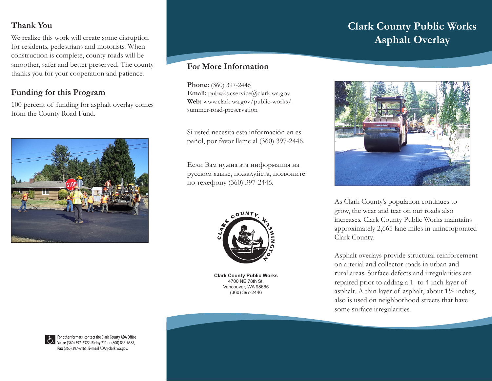# **Thank You**

We realize this work will create some disruption for residents, pedestrians and motorists. When construction is complete, county roads will be smoother, safer and better preserved. The county thanks you for your cooperation and patience.

# **Funding for this Program**

100 percent of funding for asphalt overlay comes from the County Road Fund.



## **For More Information**

**Phone:** (360) 397-2446 Email: pubwks.cservice@clark.wa.gov **Web:** www.clark.wa.gov/public-works/ summer-road-preservation

Si usted necesita esta información en español, por favor llame al (360) 397-2446.

Если Вам нужна эта информация на русском языке, пожалуйста, позвоните по телефону (360) 397-2446.



**Clark County Public Works** 4700 NE 78th St. Vancouver, WA 98665 (360) 397-2446

# **Clark County Public Works Asphalt Overlay**



As Clark County's population continues to grow, the wear and tear on our roads also increases. Clark County Public Works maintains approximately 2,665 lane miles in unincorporated Clark County.

Asphalt overlays provide structural reinforcement on arterial and collector roads in urban and rural areas. Surface defects and irregularities are repaired prior to adding a 1- to 4-inch layer of asphalt. A thin layer of asphalt, about 1½ inches, also is used on neighborhood streets that have some surface irregularities.